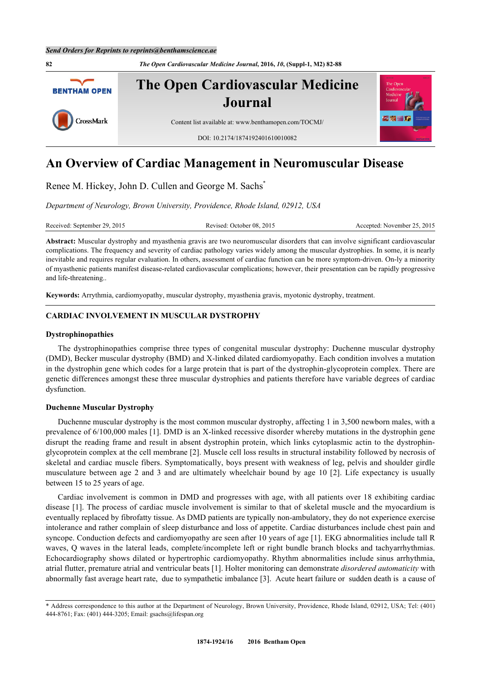

# **An Overview of Cardiac Management in Neuromuscular Disease**

Renee M. Hickey, John D. Cullen and George M. Sachs[\\*](#page-0-0)

*Department of Neurology, Brown University, Providence, Rhode Island, 02912, USA*

Received: September 29, 2015 Revised: October 08, 2015 Accepted: November 25, 2015

**Abstract:** Muscular dystrophy and myasthenia gravis are two neuromuscular disorders that can involve significant cardiovascular complications. The frequency and severity of cardiac pathology varies widely among the muscular dystrophies. In some, it is nearly inevitable and requires regular evaluation. In others, assessment of cardiac function can be more symptom-driven. On-ly a minority of myasthenic patients manifest disease-related cardiovascular complications; however, their presentation can be rapidly progressive and life-threatening..

**Keywords:** Arrythmia, cardiomyopathy, muscular dystrophy, myasthenia gravis, myotonic dystrophy, treatment.

# **CARDIAC INVOLVEMENT IN MUSCULAR DYSTROPHY**

#### **Dystrophinopathies**

The dystrophinopathies comprise three types of congenital muscular dystrophy: Duchenne muscular dystrophy (DMD), Becker muscular dystrophy (BMD) and X-linked dilated cardiomyopathy. Each condition involves a mutation in the dystrophin gene which codes for a large protein that is part of the dystrophin-glycoprotein complex. There are genetic differences amongst these three muscular dystrophies and patients therefore have variable degrees of cardiac dysfunction.

#### **Duchenne Muscular Dystrophy**

Duchenne muscular dystrophy is the most common muscular dystrophy, affecting 1 in 3,500 newborn males, with a prevalence of 6/100,000 males [[1\]](#page-5-0). DMD is an X-linked recessive disorder whereby mutations in the dystrophin gene disrupt the reading frame and result in absent dystrophin protein, which links cytoplasmic actin to the dystrophinglycoprotein complex at the cell membrane [\[2](#page-5-1)]. Muscle cell loss results in structural instability followed by necrosis of skeletal and cardiac muscle fibers. Symptomatically, boys present with weakness of leg, pelvis and shoulder girdle musculature between age 2 and 3 and are ultimately wheelchair bound by age 10 [\[2](#page-5-1)]. Life expectancy is usually between 15 to 25 years of age.

Cardiac involvement is common in DMD and progresses with age, with all patients over 18 exhibiting cardiac disease [[1](#page-5-0)]. The process of cardiac muscle involvement is similar to that of skeletal muscle and the myocardium is eventually replaced by fibrofatty tissue. As DMD patients are typically non-ambulatory, they do not experience exercise intolerance and rather complain of sleep disturbance and loss of appetite. Cardiac disturbances include chest pain and syncope. Conduction defects and cardiomyopathy are seen after 10 years of age [\[1](#page-5-0)]. EKG abnormalities include tall R waves, Q waves in the lateral leads, complete/incomplete left or right bundle branch blocks and tachyarrhythmias. Echocardiography shows dilated or hypertrophic cardiomyopathy. Rhythm abnormalities include sinus arrhythmia, atrial flutter, premature atrial and ventricular beats [\[1](#page-5-0)]. Holter monitoring can demonstrate *disordered automaticity* with abnormally fast average heart rate, due to sympathetic imbalance [\[3](#page-5-2)]. Acute heart failure or sudden death is a cause of

<span id="page-0-0"></span><sup>\*</sup> Address correspondence to this author at the Department of Neurology, Brown University, Providence, Rhode Island, 02912, USA; Tel: (401) 444-8761; Fax: (401) 444-3205; Email: [gsachs@lifespan.org](mailto:gsachs@lifespan.org)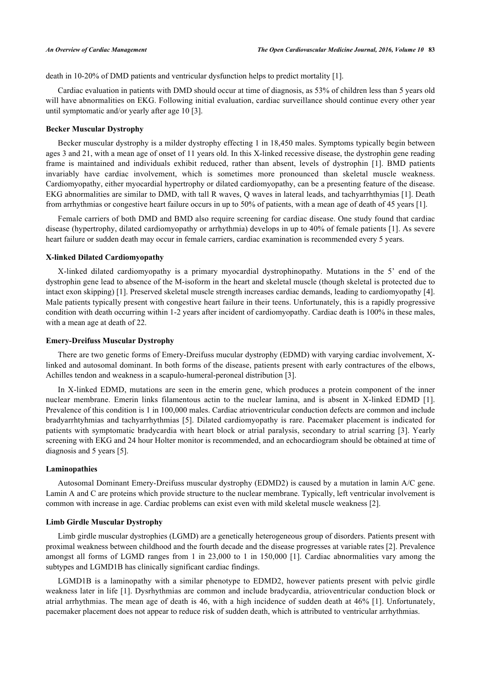death in 10-20% of DMD patients and ventricular dysfunction helps to predict mortality [[1\]](#page-5-0).

Cardiac evaluation in patients with DMD should occur at time of diagnosis, as 53% of children less than 5 years old will have abnormalities on EKG. Following initial evaluation, cardiac surveillance should continue every other year until symptomatic and/or yearly after age 10 [\[3](#page-5-2)].

#### **Becker Muscular Dystrophy**

Becker muscular dystrophy is a milder dystrophy effecting 1 in 18,450 males. Symptoms typically begin between ages 3 and 21, with a mean age of onset of 11 years old. In this X-linked recessive disease, the dystrophin gene reading frame is maintained and individuals exhibit reduced, rather than absent, levels of dystrophin[[1\]](#page-5-0). BMD patients invariably have cardiac involvement, which is sometimes more pronounced than skeletal muscle weakness. Cardiomyopathy, either myocardial hypertrophy or dilated cardiomyopathy, can be a presenting feature of the disease. EKG abnormalities are similar to DMD, with tall R waves, Q waves in lateral leads, and tachyarrhthymias [\[1\]](#page-5-0). Death from arrhythmias or congestive heart failure occurs in up to 50% of patients, with a mean age of death of 45 years [[1\]](#page-5-0).

Female carriers of both DMD and BMD also require screening for cardiac disease. One study found that cardiac disease (hypertrophy, dilated cardiomyopathy or arrhythmia) develops in up to 40% of female patients [[1\]](#page-5-0). As severe heart failure or sudden death may occur in female carriers, cardiac examination is recommended every 5 years.

#### **X-linked Dilated Cardiomyopathy**

X-linked dilated cardiomyopathy is a primary myocardial dystrophinopathy. Mutations in the 5' end of the dystrophin gene lead to absence of the M-isoform in the heart and skeletal muscle (though skeletal is protected due to intact exon skipping) [[1\]](#page-5-0). Preserved skeletal muscle strength increases cardiac demands, leading to cardiomyopathy [[4\]](#page-5-3). Male patients typically present with congestive heart failure in their teens. Unfortunately, this is a rapidly progressive condition with death occurring within 1-2 years after incident of cardiomyopathy. Cardiac death is 100% in these males, with a mean age at death of 22.

## **Emery-Dreifuss Muscular Dystrophy**

There are two genetic forms of Emery-Dreifuss mucular dystrophy (EDMD) with varying cardiac involvement, Xlinked and autosomal dominant. In both forms of the disease, patients present with early contractures of the elbows, Achilles tendon and weakness in a scapulo-humeral-peroneal distribution [\[3](#page-5-2)].

In X-linked EDMD, mutations are seen in the emerin gene, which produces a protein component of the inner nuclear membrane. Emerin links filamentous actin to the nuclear lamina, and is absent in X-linked EDMD[[1\]](#page-5-0). Prevalence of this condition is 1 in 100,000 males. Cardiac atrioventricular conduction defects are common and include bradyarrhtyhmias and tachyarrhythmias [\[5](#page-5-4)]. Dilated cardiomyopathy is rare. Pacemaker placement is indicated for patients with symptomatic bradycardia with heart block or atrial paralysis, secondary to atrial scarring [[3](#page-5-2)]. Yearly screening with EKG and 24 hour Holter monitor is recommended, and an echocardiogram should be obtained at time of diagnosis and 5 years [\[5](#page-5-4)].

#### **Laminopathies**

Autosomal Dominant Emery-Dreifuss muscular dystrophy (EDMD2) is caused by a mutation in lamin A/C gene. Lamin A and C are proteins which provide structure to the nuclear membrane. Typically, left ventricular involvement is common with increase in age. Cardiac problems can exist even with mild skeletal muscle weakness [[2\]](#page-5-1).

#### **Limb Girdle Muscular Dystrophy**

Limb girdle muscular dystrophies (LGMD) are a genetically heterogeneous group of disorders. Patients present with proximal weakness between childhood and the fourth decade and the disease progresses at variable rates [\[2](#page-5-1)]. Prevalence amongst all forms of LGMD ranges from 1 in 23,000 to 1 in 150,000 [[1\]](#page-5-0). Cardiac abnormalities vary among the subtypes and LGMD1B has clinically significant cardiac findings.

LGMD1B is a laminopathy with a similar phenotype to EDMD2, however patients present with pelvic girdle weakness later in life [[1\]](#page-5-0). Dysrhythmias are common and include bradycardia, atrioventricular conduction block or atrial arrhythmias. The mean age of death is 46, with a high incidence of sudden death at 46% [[1](#page-5-0)]. Unfortunately, pacemaker placement does not appear to reduce risk of sudden death, which is attributed to ventricular arrhythmias.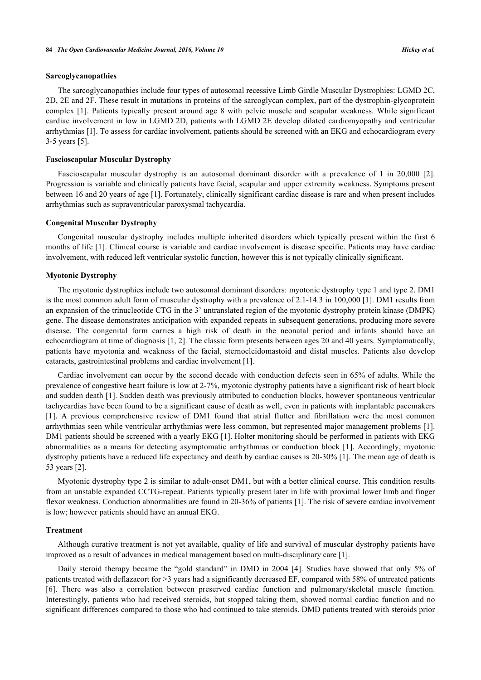### **Sarcoglycanopathies**

The sarcoglycanopathies include four types of autosomal recessive Limb Girdle Muscular Dystrophies: LGMD 2C, 2D, 2E and 2F. These result in mutations in proteins of the sarcoglycan complex, part of the dystrophin-glycoprotein complex [[1](#page-5-0)]. Patients typically present around age 8 with pelvic muscle and scapular weakness. While significant cardiac involvement in low in LGMD 2D, patients with LGMD 2E develop dilated cardiomyopathy and ventricular arrhythmias [\[1](#page-5-0)]. To assess for cardiac involvement, patients should be screened with an EKG and echocardiogram every 3-5 years [\[5](#page-5-4)].

#### **Fascioscapular Muscular Dystrophy**

Fascioscapular muscular dystrophy is an autosomal dominant disorder with a prevalence of 1 in 20,000[[2\]](#page-5-1). Progression is variable and clinically patients have facial, scapular and upper extremity weakness. Symptoms present between 16 and 20 years of age [\[1](#page-5-0)]. Fortunately, clinically significant cardiac disease is rare and when present includes arrhythmias such as supraventricular paroxysmal tachycardia.

#### **Congenital Muscular Dystrophy**

Congenital muscular dystrophy includes multiple inherited disorders which typically present within the first 6 months of life [\[1\]](#page-5-0). Clinical course is variable and cardiac involvement is disease specific. Patients may have cardiac involvement, with reduced left ventricular systolic function, however this is not typically clinically significant.

#### **Myotonic Dystrophy**

The myotonic dystrophies include two autosomal dominant disorders: myotonic dystrophy type 1 and type 2. DM1 is the most common adult form of muscular dystrophy with a prevalence of 2.1-14.3 in 100,000 [\[1](#page-5-0)]. DM1 results from an expansion of the trinucleotide CTG in the 3' untranslated region of the myotonic dystrophy protein kinase (DMPK) gene. The disease demonstrates anticipation with expanded repeats in subsequent generations, producing more severe disease. The congenital form carries a high risk of death in the neonatal period and infants should have an echocardiogram at time of diagnosis [[1,](#page-5-0) [2\]](#page-5-1). The classic form presents between ages 20 and 40 years. Symptomatically, patients have myotonia and weakness of the facial, sternocleidomastoid and distal muscles. Patients also develop cataracts, gastrointestinal problems and cardiac involvement [\[1](#page-5-0)].

Cardiac involvement can occur by the second decade with conduction defects seen in 65% of adults. While the prevalence of congestive heart failure is low at 2-7%, myotonic dystrophy patients have a significant risk of heart block and sudden death [\[1](#page-5-0)]. Sudden death was previously attributed to conduction blocks, however spontaneous ventricular tachycardias have been found to be a significant cause of death as well, even in patients with implantable pacemakers [\[1](#page-5-0)]. A previous comprehensive review of DM1 found that atrial flutter and fibrillation were the most common arrhythmias seen while ventricular arrhythmias were less common, but represented major management problems [[1\]](#page-5-0). DM1 patients should be screened with a yearly EKG [[1\]](#page-5-0). Holter monitoring should be performed in patients with EKG abnormalities as a means for detecting asymptomatic arrhythmias or conduction block [[1](#page-5-0)]. Accordingly, myotonic dystrophy patients have a reduced life expectancy and death by cardiac causes is 20-30% [\[1](#page-5-0)]. The mean age of death is 53 years [\[2](#page-5-1)].

Myotonic dystrophy type 2 is similar to adult-onset DM1, but with a better clinical course. This condition results from an unstable expanded CCTG-repeat. Patients typically present later in life with proximal lower limb and finger flexor weakness. Conduction abnormalities are found in 20-36% of patients [[1\]](#page-5-0). The risk of severe cardiac involvement is low; however patients should have an annual EKG.

#### **Treatment**

Although curative treatment is not yet available, quality of life and survival of muscular dystrophy patients have improved as a result of advances in medical management based on multi-disciplinary care [\[1](#page-5-0)].

Daily steroid therapy became the "gold standard" in DMD in 2004 [\[4](#page-5-3)]. Studies have showed that only 5% of patients treated with deflazacort for >3 years had a significantly decreased EF, compared with 58% of untreated patients [\[6](#page-5-5)]. There was also a correlation between preserved cardiac function and pulmonary/skeletal muscle function. Interestingly, patients who had received steroids, but stopped taking them, showed normal cardiac function and no significant differences compared to those who had continued to take steroids. DMD patients treated with steroids prior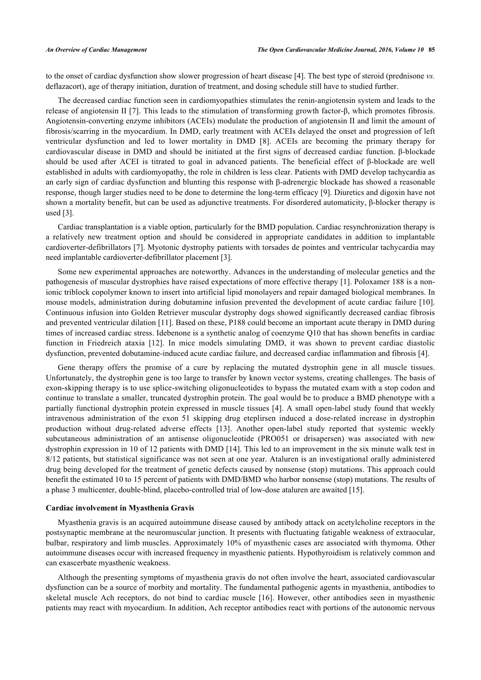to the onset of cardiac dysfunction show slower progression of heart disease [[4\]](#page-5-3). The best type of steroid (prednisone *vs.* deflazacort), age of therapy initiation, duration of treatment, and dosing schedule still have to studied further.

The decreased cardiac function seen in cardiomyopathies stimulates the renin-angiotensin system and leads to the release of angiotensin II [\[7](#page-5-6)]. This leads to the stimulation of transforming growth factor-β, which promotes fibrosis. Angiotensin-converting enzyme inhibitors (ACEIs) modulate the production of angiotensin II and limit the amount of fibrosis/scarring in the myocardium. In DMD, early treatment with ACEIs delayed the onset and progression of left ventricular dysfunction and led to lower mortality in DMD[[8](#page-5-7)]. ACEIs are becoming the primary therapy for cardiovascular disease in DMD and should be initiated at the first signs of decreased cardiac function. β-blockade should be used after ACEI is titrated to goal in advanced patients. The beneficial effect of β-blockade are well established in adults with cardiomyopathy, the role in children is less clear. Patients with DMD develop tachycardia as an early sign of cardiac dysfunction and blunting this response with β-adrenergic blockade has showed a reasonable response, though larger studies need to be done to determine the long-term efficacy [\[9](#page-5-8)]. Diuretics and digoxin have not shown a mortality benefit, but can be used as adjunctive treatments. For disordered automaticity, β-blocker therapy is used [[3\]](#page-5-2).

Cardiac transplantation is a viable option, particularly for the BMD population. Cardiac resynchronization therapy is a relatively new treatment option and should be considered in appropriate candidates in addition to implantable cardioverter-defibrillators [[7\]](#page-5-6). Myotonic dystrophy patients with torsades de pointes and ventricular tachycardia may need implantable cardioverter-defibrillator placement [[3\]](#page-5-2).

Some new experimental approaches are noteworthy. Advances in the understanding of molecular genetics and the pathogenesis of muscular dystrophies have raised expectations of more effective therapy [[1\]](#page-5-0). Poloxamer 188 is a nonionic triblock copolymer known to insert into artificial lipid monolayers and repair damaged biological membranes. In mouse models, administration during dobutamine infusion prevented the development of acute cardiac failure [\[10\]](#page-5-9). Continuous infusion into Golden Retriever muscular dystrophy dogs showed significantly decreased cardiac fibrosis and prevented ventricular dilation [\[11](#page-5-10)]. Based on these, P188 could become an important acute therapy in DMD during times of increased cardiac stress. Idebenone is a synthetic analog of coenzyme Q10 that has shown benefits in cardiac function in Friedreich ataxia[[12\]](#page-5-11). In mice models simulating DMD, it was shown to prevent cardiac diastolic dysfunction, prevented dobutamine-induced acute cardiac failure, and decreased cardiac inflammation and fibrosis [\[4](#page-5-3)].

Gene therapy offers the promise of a cure by replacing the mutated dystrophin gene in all muscle tissues. Unfortunately, the dystrophin gene is too large to transfer by known vector systems, creating challenges. The basis of exon-skipping therapy is to use splice-switching oligonucleotides to bypass the mutated exam with a stop codon and continue to translate a smaller, truncated dystrophin protein. The goal would be to produce a BMD phenotype with a partially functional dystrophin protein expressed in muscle tissues [\[4](#page-5-3)]. A small open-label study found that weekly intravenous administration of the exon 51 skipping drug eteplirsen induced a dose-related increase in dystrophin production without drug-related adverse effects [\[13](#page-5-12)]. Another open-label study reported that systemic weekly subcutaneous administration of an antisense oligonucleotide (PRO051 or drisapersen) was associated with new dystrophin expression in 10 of 12 patients with DMD [\[14\]](#page-5-13). This led to an improvement in the six minute walk test in 8/12 patients, but statistical significance was not seen at one year. Ataluren is an investigational orally administered drug being developed for the treatment of genetic defects caused by nonsense (stop) mutations. This approach could benefit the estimated 10 to 15 percent of patients with DMD/BMD who harbor nonsense (stop) mutations. The results of a phase 3 multicenter, double-blind, placebo-controlled trial of low-dose ataluren are awaited [\[15](#page-5-14)].

#### **Cardiac involvement in Myasthenia Gravis**

Myasthenia gravis is an acquired autoimmune disease caused by antibody attack on acetylcholine receptors in the postsynaptic membrane at the neuromuscular junction. It presents with fluctuating fatigable weakness of extraocular, bulbar, respiratory and limb muscles. Approximately 10% of myasthenic cases are associated with thymoma. Other autoimmune diseases occur with increased frequency in myasthenic patients. Hypothyroidism is relatively common and can exascerbate myasthenic weakness.

Although the presenting symptoms of myasthenia gravis do not often involve the heart, associated cardiovascular dysfunction can be a source of morbity and mortality. The fundamental pathogenic agents in myasthenia, antibodies to skeletal muscle Ach receptors, do not bind to cardiac muscle [[16\]](#page-5-15). However, other antibodies seen in myasthenic patients may react with myocardium. In addition, Ach receptor antibodies react with portions of the autonomic nervous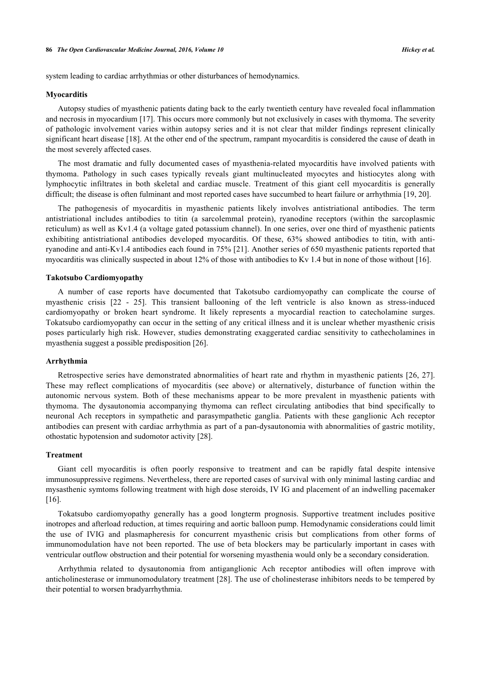system leading to cardiac arrhythmias or other disturbances of hemodynamics.

#### **Myocarditis**

Autopsy studies of myasthenic patients dating back to the early twentieth century have revealed focal inflammation and necrosis in myocardium [\[17](#page-6-0)]. This occurs more commonly but not exclusively in cases with thymoma. The severity of pathologic involvement varies within autopsy series and it is not clear that milder findings represent clinically significant heart disease [[18\]](#page-6-1). At the other end of the spectrum, rampant myocarditis is considered the cause of death in the most severely affected cases.

The most dramatic and fully documented cases of myasthenia-related myocarditis have involved patients with thymoma. Pathology in such cases typically reveals giant multinucleated myocytes and histiocytes along with lymphocytic infiltrates in both skeletal and cardiac muscle. Treatment of this giant cell myocarditis is generally difficult; the disease is often fulminant and most reported cases have succumbed to heart failure or arrhythmia [[19](#page-6-2)[, 20\]](#page-6-3).

The pathogenesis of myocarditis in myasthenic patients likely involves antistriational antibodies. The term antistriational includes antibodies to titin (a sarcolemmal protein), ryanodine receptors (within the sarcoplasmic reticulum) as well as Kv1.4 (a voltage gated potassium channel). In one series, over one third of myasthenic patients exhibiting antistriational antibodies developed myocarditis. Of these, 63% showed antibodies to titin, with antiryanodine and anti-Kv1.4 antibodies each found in 75% [\[21\]](#page-6-4). Another series of 650 myasthenic patients reported that myocarditis was clinically suspected in about 12% of those with antibodies to Kv 1.4 but in none of those without [\[16](#page-5-15)].

#### **Takotsubo Cardiomyopathy**

A number of case reports have documented that Takotsubo cardiomyopathy can complicate the course of myasthenic crisis [\[22](#page-6-5) - [25\]](#page-6-6). This transient ballooning of the left ventricle is also known as stress-induced cardiomyopathy or broken heart syndrome. It likely represents a myocardial reaction to catecholamine surges. Tokatsubo cardiomyopathy can occur in the setting of any critical illness and it is unclear whether myasthenic crisis poses particularly high risk. However, studies demonstrating exaggerated cardiac sensitivity to cathecholamines in myasthenia suggest a possible predisposition [[26\]](#page-6-7).

#### **Arrhythmia**

Retrospective series have demonstrated abnormalities of heart rate and rhythm in myasthenic patients [[26](#page-6-7), [27\]](#page-6-8). These may reflect complications of myocarditis (see above) or alternatively, disturbance of function within the autonomic nervous system. Both of these mechanisms appear to be more prevalent in myasthenic patients with thymoma. The dysautonomia accompanying thymoma can reflect circulating antibodies that bind specifically to neuronal Ach receptors in sympathetic and parasympathetic ganglia. Patients with these ganglionic Ach receptor antibodies can present with cardiac arrhythmia as part of a pan-dysautonomia with abnormalities of gastric motility, othostatic hypotension and sudomotor activity [[28\]](#page-6-9).

#### **Treatment**

Giant cell myocarditis is often poorly responsive to treatment and can be rapidly fatal despite intensive immunosuppressive regimens. Nevertheless, there are reported cases of survival with only minimal lasting cardiac and mysasthenic symtoms following treatment with high dose steroids, IV IG and placement of an indwelling pacemaker  $[16]$  $[16]$ .

Tokatsubo cardiomyopathy generally has a good longterm prognosis. Supportive treatment includes positive inotropes and afterload reduction, at times requiring and aortic balloon pump. Hemodynamic considerations could limit the use of IVIG and plasmapheresis for concurrent myasthenic crisis but complications from other forms of immunomodulation have not been reported. The use of beta blockers may be particularly important in cases with ventricular outflow obstruction and their potential for worsening myasthenia would only be a secondary consideration.

Arrhythmia related to dysautonomia from antiganglionic Ach receptor antibodies will often improve with anticholinesterase or immunomodulatory treatment [[28\]](#page-6-9). The use of cholinesterase inhibitors needs to be tempered by their potential to worsen bradyarrhythmia.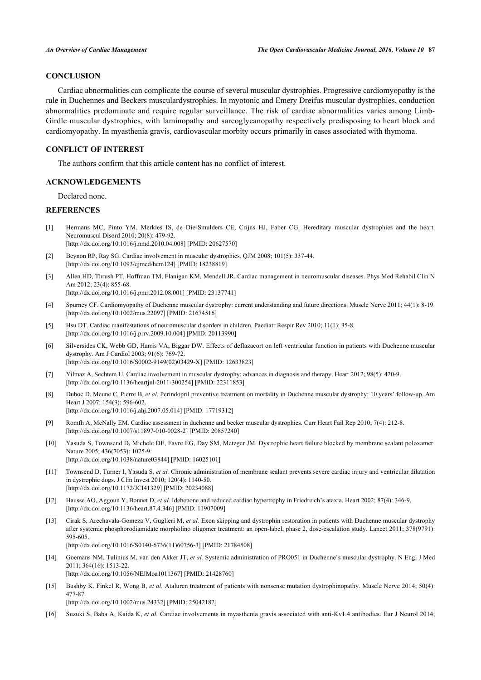# **CONCLUSION**

Cardiac abnormalities can complicate the course of several muscular dystrophies. Progressive cardiomyopathy is the rule in Duchennes and Beckers musculardystrophies. In myotonic and Emery Dreifus muscular dystrophies, conduction abnormalities predominate and require regular surveillance. The risk of cardiac abnormalities varies among Limb-Girdle muscular dystrophies, with laminopathy and sarcoglycanopathy respectively predisposing to heart block and cardiomyopathy. In myasthenia gravis, cardiovascular morbity occurs primarily in cases associated with thymoma.

#### **CONFLICT OF INTEREST**

The authors confirm that this article content has no conflict of interest.

#### **ACKNOWLEDGEMENTS**

Declared none.

#### **REFERENCES**

- <span id="page-5-0"></span>[1] Hermans MC, Pinto YM, Merkies IS, de Die-Smulders CE, Crijns HJ, Faber CG. Hereditary muscular dystrophies and the heart. Neuromuscul Disord 2010; 20(8): 479-92. [\[http://dx.doi.org/10.1016/j.nmd.2010.04.008](http://dx.doi.org/10.1016/j.nmd.2010.04.008)] [PMID: [20627570\]](http://www.ncbi.nlm.nih.gov/pubmed/20627570)
- <span id="page-5-1"></span>[2] Beynon RP, Ray SG. Cardiac involvement in muscular dystrophies. QJM 2008; 101(5): 337-44. [\[http://dx.doi.org/10.1093/qjmed/hcm124\]](http://dx.doi.org/10.1093/qjmed/hcm124) [PMID: [18238819](http://www.ncbi.nlm.nih.gov/pubmed/18238819)]
- <span id="page-5-2"></span>[3] Allen HD, Thrush PT, Hoffman TM, Flanigan KM, Mendell JR. Cardiac management in neuromuscular diseases. Phys Med Rehabil Clin N Am 2012; 23(4): 855-68. [\[http://dx.doi.org/10.1016/j.pmr.2012.08.001\]](http://dx.doi.org/10.1016/j.pmr.2012.08.001) [PMID: [23137741](http://www.ncbi.nlm.nih.gov/pubmed/23137741)]
- <span id="page-5-3"></span>[4] Spurney CF. Cardiomyopathy of Duchenne muscular dystrophy: current understanding and future directions. Muscle Nerve 2011; 44(1): 8-19. [\[http://dx.doi.org/10.1002/mus.22097](http://dx.doi.org/10.1002/mus.22097)] [PMID: [21674516\]](http://www.ncbi.nlm.nih.gov/pubmed/21674516)
- <span id="page-5-4"></span>[5] Hsu DT. Cardiac manifestations of neuromuscular disorders in children. Paediatr Respir Rev 2010; 11(1): 35-8. [\[http://dx.doi.org/10.1016/j.prrv.2009.10.004](http://dx.doi.org/10.1016/j.prrv.2009.10.004)] [PMID: [20113990\]](http://www.ncbi.nlm.nih.gov/pubmed/20113990)
- <span id="page-5-5"></span>[6] Silversides CK, Webb GD, Harris VA, Biggar DW. Effects of deflazacort on left ventricular function in patients with Duchenne muscular dystrophy. Am J Cardiol 2003; 91(6): 769-72. [\[http://dx.doi.org/10.1016/S0002-9149\(02\)03429-X\]](http://dx.doi.org/10.1016/S0002-9149(02)03429-X) [PMID: [12633823](http://www.ncbi.nlm.nih.gov/pubmed/12633823)]
- <span id="page-5-6"></span>[7] Yilmaz A, Sechtem U. Cardiac involvement in muscular dystrophy: advances in diagnosis and therapy. Heart 2012; 98(5): 420-9. [\[http://dx.doi.org/10.1136/heartjnl-2011-300254\]](http://dx.doi.org/10.1136/heartjnl-2011-300254) [PMID: [22311853](http://www.ncbi.nlm.nih.gov/pubmed/22311853)]
- <span id="page-5-7"></span>[8] Duboc D, Meune C, Pierre B, *et al.* Perindopril preventive treatment on mortality in Duchenne muscular dystrophy: 10 years' follow-up. Am Heart J 2007; 154(3): 596-602. [\[http://dx.doi.org/10.1016/j.ahj.2007.05.014\]](http://dx.doi.org/10.1016/j.ahj.2007.05.014) [PMID: [17719312](http://www.ncbi.nlm.nih.gov/pubmed/17719312)]
- <span id="page-5-8"></span>[9] Romfh A, McNally EM. Cardiac assessment in duchenne and becker muscular dystrophies. Curr Heart Fail Rep 2010; 7(4): 212-8. [\[http://dx.doi.org/10.1007/s11897-010-0028-2\]](http://dx.doi.org/10.1007/s11897-010-0028-2) [PMID: [20857240](http://www.ncbi.nlm.nih.gov/pubmed/20857240)]
- <span id="page-5-9"></span>[10] Yasuda S, Townsend D, Michele DE, Favre EG, Day SM, Metzger JM. Dystrophic heart failure blocked by membrane sealant poloxamer. Nature 2005; 436(7053): 1025-9. [\[http://dx.doi.org/10.1038/nature03844\]](http://dx.doi.org/10.1038/nature03844) [PMID: [16025101](http://www.ncbi.nlm.nih.gov/pubmed/16025101)]
- <span id="page-5-10"></span>[11] Townsend D, Turner I, Yasuda S, *et al.* Chronic administration of membrane sealant prevents severe cardiac injury and ventricular dilatation in dystrophic dogs. J Clin Invest 2010; 120(4): 1140-50. [\[http://dx.doi.org/10.1172/JCI41329\]](http://dx.doi.org/10.1172/JCI41329) [PMID: [20234088](http://www.ncbi.nlm.nih.gov/pubmed/20234088)]
- <span id="page-5-11"></span>[12] Hausse AO, Aggoun Y, Bonnet D, *et al.* Idebenone and reduced cardiac hypertrophy in Friedreich's ataxia. Heart 2002; 87(4): 346-9. [\[http://dx.doi.org/10.1136/heart.87.4.346\]](http://dx.doi.org/10.1136/heart.87.4.346) [PMID: [11907009](http://www.ncbi.nlm.nih.gov/pubmed/11907009)]
- <span id="page-5-12"></span>[13] Cirak S, Arechavala-Gomeza V, Guglieri M, *et al.* Exon skipping and dystrophin restoration in patients with Duchenne muscular dystrophy after systemic phosphorodiamidate morpholino oligomer treatment: an open-label, phase 2, dose-escalation study. Lancet 2011; 378(9791): 595-605. [\[http://dx.doi.org/10.1016/S0140-6736\(11\)60756-3\]](http://dx.doi.org/10.1016/S0140-6736(11)60756-3) [PMID: [21784508](http://www.ncbi.nlm.nih.gov/pubmed/21784508)]
- <span id="page-5-13"></span>[14] Goemans NM, Tulinius M, van den Akker JT, *et al.* Systemic administration of PRO051 in Duchenne's muscular dystrophy. N Engl J Med 2011; 364(16): 1513-22. [\[http://dx.doi.org/10.1056/NEJMoa1011367](http://dx.doi.org/10.1056/NEJMoa1011367)] [PMID: [21428760\]](http://www.ncbi.nlm.nih.gov/pubmed/21428760)
- <span id="page-5-14"></span>[15] Bushby K, Finkel R, Wong B, *et al.* Ataluren treatment of patients with nonsense mutation dystrophinopathy. Muscle Nerve 2014; 50(4): 477-87. [\[http://dx.doi.org/10.1002/mus.24332](http://dx.doi.org/10.1002/mus.24332)] [PMID: [25042182\]](http://www.ncbi.nlm.nih.gov/pubmed/25042182)
- <span id="page-5-15"></span>[16] Suzuki S, Baba A, Kaida K, *et al.* Cardiac involvements in myasthenia gravis associated with anti-Kv1.4 antibodies. Eur J Neurol 2014;